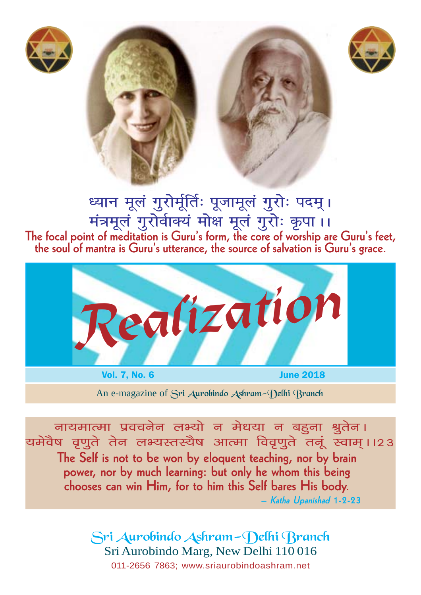





ध्यान मूलं गुरोर्मूर्तिः पूजामूलं गुरोः पदम्। **Find of Paper and The focal point of meditation is Guru's form, the core of worship are Guru's feet, the soul of mantra is Guru's utterance, the source of salvation is Guru's grace.**



An e-magazine of Sri Aurobindo Ashram-Delhi Branch

नायमात्मा प्रवचनेन लभ्यो न मेधया न बहुना श्रुतेन। यमेवैष वृणुते तेन लभ्यस्तस्यैष आत्मा विवृणुते तनूं स्वाम् । ।23 **The Self is not to be won by eloquent teaching, nor by brain power, nor by much learning: but only he whom this being chooses can win Him, for to him this Self bares His body. – Katha Upanishad 1-2-23**

> Sri Aurobindo Ashram-Delhi Branch Sri Aurobindo Marg, New Delhi 110 016 011-2656 7863; www.sriaurobindoashram.net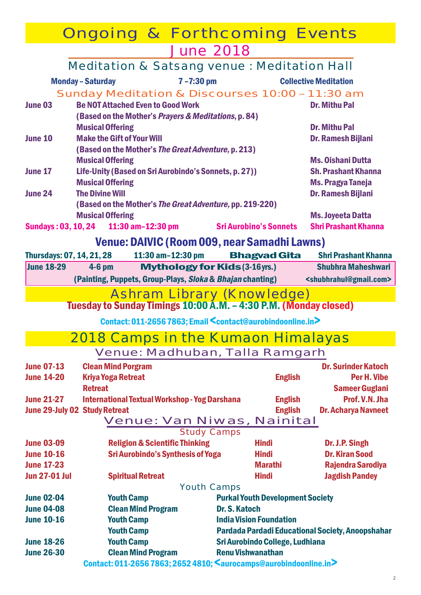# Ongoing & Forthcoming Events June 2018

|                |                          | Meditation & Satsang venue: Meditation Hall                      |               |                               |                              |
|----------------|--------------------------|------------------------------------------------------------------|---------------|-------------------------------|------------------------------|
|                | <b>Monday - Saturday</b> |                                                                  | $7 - 7:30$ pm |                               | <b>Collective Meditation</b> |
|                |                          | Sunday Meditation & Discourses 10:00 - 11:30 am                  |               |                               |                              |
| <b>June 03</b> |                          | <b>Be NOT Attached Even to Good Work</b>                         |               |                               | <b>Dr. Mithu Pal</b>         |
|                |                          | (Based on the Mother's <i>Prayers &amp; Meditations</i> , p. 84) |               |                               |                              |
|                |                          | <b>Musical Offering</b>                                          |               |                               | <b>Dr. Mithu Pal</b>         |
| <b>June 10</b> |                          | <b>Make the Gift of Your Will</b>                                |               |                               | <b>Dr. Ramesh Bijlani</b>    |
|                |                          | (Based on the Mother's The Great Adventure, p. 213)              |               |                               |                              |
|                |                          | <b>Musical Offering</b>                                          |               |                               | <b>Ms. Oishani Dutta</b>     |
| <b>June 17</b> |                          | Life-Unity (Based on Sri Aurobindo's Sonnets, p. 27))            |               |                               | <b>Sh. Prashant Khanna</b>   |
|                |                          | <b>Musical Offering</b>                                          |               |                               | <b>Ms. Pragya Taneja</b>     |
| <b>June 24</b> | <b>The Divine Will</b>   |                                                                  |               |                               | <b>Dr. Ramesh Bijlani</b>    |
|                |                          | (Based on the Mother's The Great Adventure, pp. 219-220)         |               |                               |                              |
|                |                          | <b>Musical Offering</b>                                          |               |                               | <b>Ms. Joyeeta Datta</b>     |
|                |                          | Sundays: 03, 10, 24 11:30 am-12:30 pm                            |               | <b>Sri Aurobino's Sonnets</b> | <b>Shri Prashant Khanna</b>  |
|                |                          | <b>Venue: DAIVIC (Room 009, near Samadhi Lawns)</b>              |               |                               |                              |

| <b>Thursdays: 07, 14, 21, 28</b> |          | 11:30 am-12:30 pm                                         | <b>Bhagyad Gita</b> | <b>Shri Prashant Khanna</b>                   |
|----------------------------------|----------|-----------------------------------------------------------|---------------------|-----------------------------------------------|
| <b>June 18-29</b>                | $4-6$ pm | <b>Mythology for Kids (3-16 yrs.)</b>                     |                     | <b>Shubhra Maheshwari</b>                     |
|                                  |          | (Painting, Puppets, Group-Plays, Sloka & Bhajan chanting) |                     | <shubhrahul@gmail.com></shubhrahul@gmail.com> |

Ashram Library (Knowledge)

Tuesday to Sunday Timings 10:00 A.M. – 4:30 P.M. (Monday closed)

Contact: 011-2656 7863; Email <contact@aurobindoonline.in>

# 2018 Camps in the Kumaon Himalayas

Venue: Madhuban, Talla Ramgarh

| <b>June 07-13</b>                    | <b>Clean Mind Porgram</b>                                                                        |                      |                                         | <b>Dr. Surinder Katoch</b>                              |  |
|--------------------------------------|--------------------------------------------------------------------------------------------------|----------------------|-----------------------------------------|---------------------------------------------------------|--|
| <b>June 14-20</b>                    | <b>Kriya Yoga Retreat</b>                                                                        |                      | <b>English</b>                          | Per H. Vibe                                             |  |
|                                      | <b>Retreat</b>                                                                                   |                      |                                         | <b>Sameer Guglani</b>                                   |  |
| <b>June 21-27</b>                    | <b>International Textual Workshop - Yog Darshana</b>                                             |                      | <b>English</b>                          | Prof. V.N. Jha                                          |  |
| <b>June 29-July 02 Study Retreat</b> |                                                                                                  |                      | <b>English</b>                          | <b>Dr. Acharya Navneet</b>                              |  |
|                                      | Venue: Van Niwas, Nainital                                                                       |                      |                                         |                                                         |  |
|                                      |                                                                                                  | <b>Study Camps</b>   |                                         |                                                         |  |
| <b>June 03-09</b>                    | <b>Religion &amp; Scientific Thinking</b>                                                        |                      | <b>Hindi</b>                            | Dr. J.P. Singh                                          |  |
| <b>June 10-16</b>                    | <b>Sri Aurobindo's Synthesis of Yoga</b>                                                         |                      | <b>Hindi</b>                            | <b>Dr. Kiran Sood</b>                                   |  |
| <b>June 17-23</b>                    |                                                                                                  |                      | <b>Marathi</b>                          | <b>Rajendra Sarodiya</b>                                |  |
| <b>Jun 27-01 Jul</b>                 | <b>Spiritual Retreat</b>                                                                         |                      | <b>Hindi</b>                            | <b>Jagdish Pandey</b>                                   |  |
|                                      |                                                                                                  | Youth Camps          |                                         |                                                         |  |
| <b>June 02-04</b>                    | <b>Youth Camp</b>                                                                                |                      | <b>Purkal Youth Development Society</b> |                                                         |  |
| <b>June 04-08</b>                    | <b>Clean Mind Program</b>                                                                        | <b>Dr. S. Katoch</b> |                                         |                                                         |  |
| <b>June 10-16</b>                    | <b>Youth Camp</b>                                                                                |                      | <b>India Vision Foundation</b>          |                                                         |  |
|                                      | <b>Youth Camp</b>                                                                                |                      |                                         | <b>Pardada Pardadi Educational Society, Anoopshahar</b> |  |
| <b>June 18-26</b>                    | <b>Youth Camp</b>                                                                                |                      | Sri Aurobindo College, Ludhiana         |                                                         |  |
| <b>June 26-30</b>                    | <b>Clean Mind Program</b>                                                                        |                      | <b>Renu Vishwanathan</b>                |                                                         |  |
|                                      | Contact: 011-2656 7863; 2652 4810; <aurocamps@aurobindoonline.in></aurocamps@aurobindoonline.in> |                      |                                         |                                                         |  |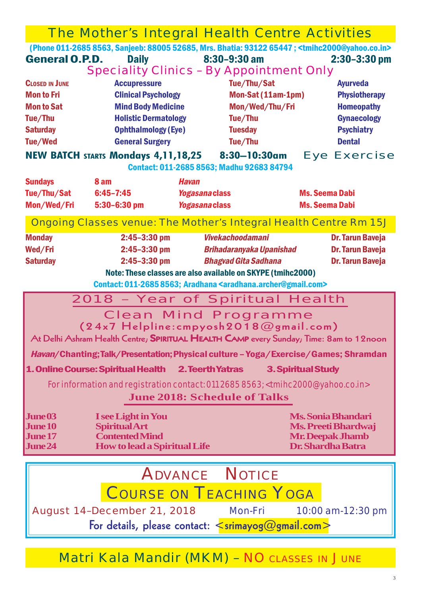|                                            |                                                   | The Mother's Integral Health Centre Activities                                                                        |                                   |                                                         |
|--------------------------------------------|---------------------------------------------------|-----------------------------------------------------------------------------------------------------------------------|-----------------------------------|---------------------------------------------------------|
|                                            |                                                   | (Phone 011-2685 8563, Sanjeeb: 88005 52685, Mrs. Bhatia: 93122 65447; <tmihc2000@yahoo.co.in></tmihc2000@yahoo.co.in> |                                   |                                                         |
| <b>General O.P.D.</b>                      | <b>Daily</b>                                      | $8:30 - 9:30$ am<br>Speciality Clinics - By Appointment Only                                                          |                                   | $2:30-3:30$ pm                                          |
| <b>CLOSED IN JUNE</b><br><b>Mon to Fri</b> | <b>Accupressure</b><br><b>Clinical Psychology</b> |                                                                                                                       | Tue/Thu/Sat<br>Mon-Sat (11am-1pm) | <b>Ayurveda</b><br><b>Physiotherapy</b>                 |
| <b>Mon to Sat</b>                          | <b>Mind Body Medicine</b>                         |                                                                                                                       | Mon/Wed/Thu/Fri                   | <b>Homeopathy</b>                                       |
| Tue/Thu                                    | <b>Holistic Dermatology</b>                       | Tue/Thu                                                                                                               |                                   | <b>Gynaecology</b>                                      |
| <b>Saturday</b>                            | <b>Ophthalmology (Eye)</b>                        | <b>Tuesday</b>                                                                                                        |                                   | <b>Psychiatry</b>                                       |
| Tue/Wed                                    | <b>General Surgery</b>                            | Tue/Thu                                                                                                               |                                   | <b>Dental</b>                                           |
|                                            | <b>NEW BATCH STARTS Mondays 4,11,18,25</b>        | Contact: 011-2685 8563; Madhu 92683 84794                                                                             | 8:30-10:30am                      | Eye Exercise                                            |
| <b>Sundays</b>                             | 8 am                                              | <b>Havan</b>                                                                                                          |                                   |                                                         |
| Tue/Thu/Sat                                | $6:45 - 7:45$                                     | <i><b>Yogasanaclass</b></i>                                                                                           | <b>Ms. Seema Dabi</b>             |                                                         |
| Mon/Wed/Fri                                | $5:30-6:30$ pm                                    | <b>Yogasanaclass</b>                                                                                                  | <b>Ms. Seema Dabi</b>             |                                                         |
|                                            |                                                   | Ongoing Classes venue: The Mother's Integral Health Centre Rm 15J                                                     |                                   |                                                         |
| <b>Monday</b>                              | $2:45 - 3:30$ pm                                  | <b>Vivekachoodamani</b>                                                                                               |                                   | <b>Dr. Tarun Baveja</b>                                 |
| Wed/Fri<br><b>Saturday</b>                 | $2:45 - 3:30$ pm<br>$2:45-3:30$ pm                | <b>Bhagvad Gita Sadhana</b>                                                                                           | <b>Brihadaranyaka Upanishad</b>   | <b>Dr. Tarun Baveja</b><br><b>Dr. Tarun Baveja</b>      |
|                                            |                                                   | Note: These classes are also available on SKYPE (tmihc2000)                                                           |                                   |                                                         |
|                                            |                                                   |                                                                                                                       |                                   |                                                         |
|                                            |                                                   | Contact: 011-2685 8563; Aradhana <aradhana.archer@gmail.com></aradhana.archer@gmail.com>                              |                                   |                                                         |
|                                            |                                                   | 2018 - Year of Spiritual Health                                                                                       |                                   |                                                         |
|                                            |                                                   | <b>Clean Mind Programme</b>                                                                                           |                                   |                                                         |
|                                            |                                                   | $(24x7$ Helpline: cmpyosh $2018$ @gmail.com)                                                                          |                                   |                                                         |
|                                            |                                                   | At Delhi Ashram Health Centre; SPIRITUAL HEALTH CAMP every Sunday; Time: 8am to 12noon                                |                                   |                                                         |
|                                            |                                                   | Havan/Chanting; Talk/Presentation; Physical culture - Yoga/Exercise/Games; Shramdan                                   |                                   |                                                         |
|                                            |                                                   | 1. Online Course: Spiritual Health 2. Teerth Yatras                                                                   | <b>3. Spiritual Study</b>         |                                                         |
|                                            |                                                   | For information and registration contact: 011 2685 8563; <tmihc2000@yahoo.co.in></tmihc2000@yahoo.co.in>              |                                   |                                                         |
|                                            |                                                   | <b>June 2018: Schedule of Talks</b>                                                                                   |                                   |                                                         |
| June 03<br>June 10                         | <b>I</b> see Light in You<br><b>Spiritual Art</b> |                                                                                                                       |                                   | <b>Ms. Sonia Bhandari</b><br><b>Ms. Preeti Bhardwaj</b> |
| <b>June 17</b>                             | <b>Contented Mind</b>                             |                                                                                                                       |                                   | <b>Mr. Deepak Jhamb</b>                                 |
| June 24                                    | <b>How to lead a Spiritual Life</b>               |                                                                                                                       | <b>Dr. Shardha Batra</b>          |                                                         |
|                                            |                                                   |                                                                                                                       |                                   |                                                         |
|                                            |                                                   | <b>ADVANCE NOTICE</b>                                                                                                 |                                   |                                                         |
|                                            |                                                   | COURSE ON TEACHING YOGA                                                                                               |                                   |                                                         |
|                                            |                                                   | August 14-December 21, 2018 Mon-Fri<br>For details, please contact: $\leq$ srimayog@gmail.com>                        |                                   | 10:00 am-12:30 pm                                       |

Matri Kala Mandir (MKM) – NO CLASSES IN JUNE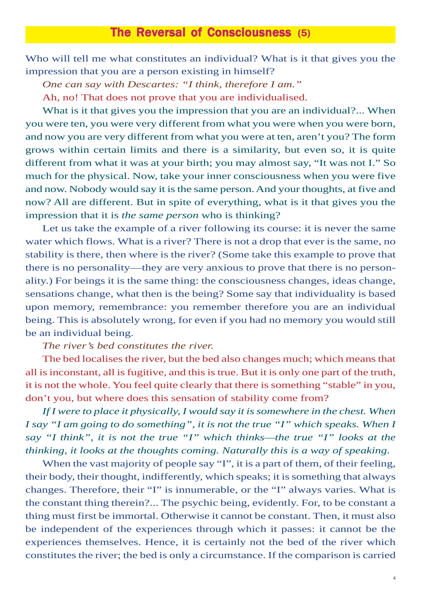### The Reversal of Consciousness (5)

Who will tell me what constitutes an individual? What is it that gives you the impression that you are a person existing in himself?

*One can say with Descartes: "I think, therefore I am."*

Ah, no! That does not prove that you are individualised.

What is it that gives you the impression that you are an individual?... When you were ten, you were very different from what you were when you were born, and now you are very different from what you were at ten, aren't you? The form grows within certain limits and there is a similarity, but even so, it is quite different from what it was at your birth; you may almost say, "It was not I." So much for the physical. Now, take your inner consciousness when you were five and now. Nobody would say it is the same person. And your thoughts, at five and now? All are different. But in spite of everything, what is it that gives you the impression that it is *the same person* who is thinking?

Let us take the example of a river following its course: it is never the same water which flows. What is a river? There is not a drop that ever is the same, no stability is there, then where is the river? (Some take this example to prove that there is no personality—they are very anxious to prove that there is no personality.) For beings it is the same thing: the consciousness changes, ideas change, sensations change, what then is the being? Some say that individuality is based upon memory, remembrance: you remember therefore you are an individual being. This is absolutely wrong, for even if you had no memory you would still be an individual being.

#### *The river's bed constitutes the river.*

The bed localises the river, but the bed also changes much; which means that all is inconstant, all is fugitive, and this is true. But it is only one part of the truth, it is not the whole. You feel quite clearly that there is something "stable" in you, don't you, but where does this sensation of stability come from?

*If I were to place it physically, I would say it is somewhere in the chest. When I say "I am going to do something", it is not the true "I" which speaks. When I say "I think", it is not the true "I" which thinks—the true "I" looks at the thinking, it looks at the thoughts coming. Naturally this is a way of speaking*.

When the vast majority of people say "I", it is a part of them, of their feeling, their body, their thought, indifferently, which speaks; it is something that always changes. Therefore, their "I" is innumerable, or the "I" always varies. What is the constant thing therein?... The psychic being, evidently. For, to be constant a thing must first be immortal. Otherwise it cannot be constant. Then, it must also be independent of the experiences through which it passes: it cannot be the experiences themselves. Hence, it is certainly not the bed of the river which constitutes the river; the bed is only a circumstance. If the comparison is carried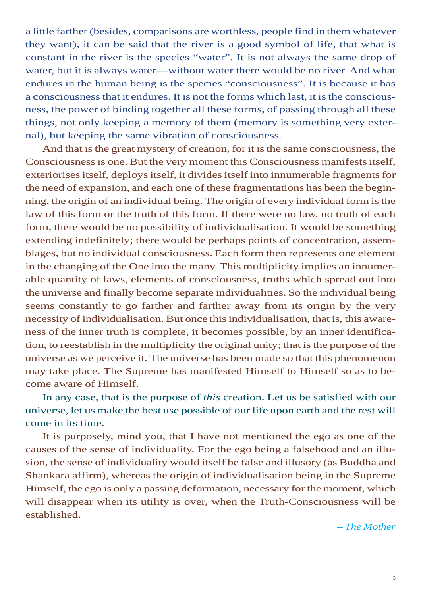a little farther (besides, comparisons are worthless, people find in them whatever they want), it can be said that the river is a good symbol of life, that what is constant in the river is the species "water". It is not always the same drop of water, but it is always water—without water there would be no river. And what endures in the human being is the species "consciousness". It is because it has a consciousness that it endures. It is not the forms which last, it is the consciousness, the power of binding together all these forms, of passing through all these things, not only keeping a memory of them (memory is something very external), but keeping the same vibration of consciousness.

And that is the great mystery of creation, for it is the same consciousness, the Consciousness is one. But the very moment this Consciousness manifests itself, exteriorises itself, deploys itself, it divides itself into innumerable fragments for the need of expansion, and each one of these fragmentations has been the beginning, the origin of an individual being. The origin of every individual form is the law of this form or the truth of this form. If there were no law, no truth of each form, there would be no possibility of individualisation. It would be something extending indefinitely; there would be perhaps points of concentration, assemblages, but no individual consciousness. Each form then represents one element in the changing of the One into the many. This multiplicity implies an innumerable quantity of laws, elements of consciousness, truths which spread out into the universe and finally become separate individualities. So the individual being seems constantly to go farther and farther away from its origin by the very necessity of individualisation. But once this individualisation, that is, this awareness of the inner truth is complete, it becomes possible, by an inner identification, to reestablish in the multiplicity the original unity; that is the purpose of the universe as we perceive it. The universe has been made so that this phenomenon may take place. The Supreme has manifested Himself to Himself so as to become aware of Himself.

In any case, that is the purpose of *this* creation. Let us be satisfied with our universe, let us make the best use possible of our life upon earth and the rest will come in its time.

It is purposely, mind you, that I have not mentioned the ego as one of the causes of the sense of individuality. For the ego being a falsehood and an illusion, the sense of individuality would itself be false and illusory (as Buddha and Shankara affirm), whereas the origin of individualisation being in the Supreme Himself, the ego is only a passing deformation, necessary for the moment, which will disappear when its utility is over, when the Truth-Consciousness will be established.

– *The Mother*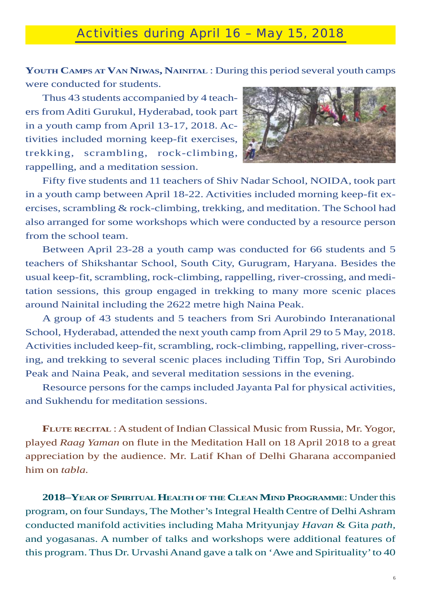### Activities during April 16 – May 15, 2018

**YOUTH CAMPS AT VAN NIWAS, NAINITAL** : During this period several youth camps were conducted for students.

Thus 43 students accompanied by 4 teachers from Aditi Gurukul, Hyderabad, took part in a youth camp from April 13-17, 2018. Activities included morning keep-fit exercises, trekking, scrambling, rock-climbing, rappelling, and a meditation session.



Fifty five students and 11 teachers of Shiv Nadar School, NOIDA, took part in a youth camp between April 18-22. Activities included morning keep-fit exercises, scrambling & rock-climbing, trekking, and meditation. The School had also arranged for some workshops which were conducted by a resource person from the school team.

Between April 23-28 a youth camp was conducted for 66 students and 5 teachers of Shikshantar School, South City, Gurugram, Haryana. Besides the usual keep-fit, scrambling, rock-climbing, rappelling, river-crossing, and meditation sessions, this group engaged in trekking to many more scenic places around Nainital including the 2622 metre high Naina Peak.

A group of 43 students and 5 teachers from Sri Aurobindo Interanational School, Hyderabad, attended the next youth camp from April 29 to 5 May, 2018. Activities included keep-fit, scrambling, rock-climbing, rappelling, river-crossing, and trekking to several scenic places including Tiffin Top, Sri Aurobindo Peak and Naina Peak, and several meditation sessions in the evening.

Resource persons for the camps included Jayanta Pal for physical activities, and Sukhendu for meditation sessions.

**FLUTE RECITAL** : A student of Indian Classical Music from Russia, Mr. Yogor, played *Raag Yaman* on flute in the Meditation Hall on 18 April 2018 to a great appreciation by the audience. Mr. Latif Khan of Delhi Gharana accompanied him on *tabla.*

**2018–YEAR OF SPIRITUAL HEALTH OF THE CLEAN MIND PROGRAMME**: Under this program, on four Sundays, The Mother's Integral Health Centre of Delhi Ashram conducted manifold activities including Maha Mrityunjay *Havan* & Gita *path,* and yogasanas. A number of talks and workshops were additional features of this program. Thus Dr. Urvashi Anand gave a talk on 'Awe and Spirituality' to 40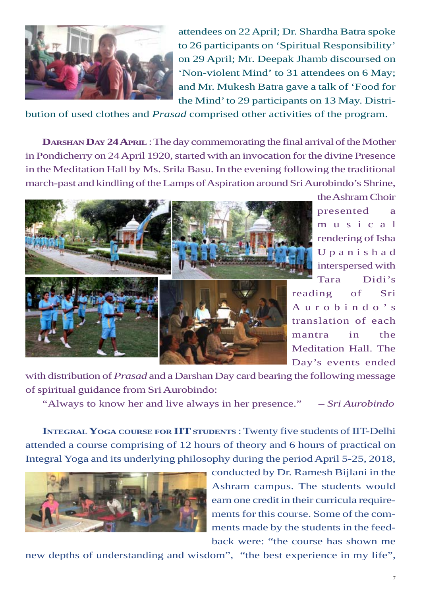

attendees on 22 April; Dr. Shardha Batra spoke to 26 participants on 'Spiritual Responsibility' on 29 April; Mr. Deepak Jhamb discoursed on 'Non-violent Mind' to 31 attendees on 6 May; and Mr. Mukesh Batra gave a talk of 'Food for the Mind' to 29 participants on 13 May. Distri-

bution of used clothes and *Prasad* comprised other activities of the program.

**DARSHAN DAY 24 APRIL** : The day commemorating the final arrival of the Mother in Pondicherry on 24 April 1920, started with an invocation for the divine Presence in the Meditation Hall by Ms. Srila Basu. In the evening following the traditional march-past and kindling of the Lamps of Aspiration around Sri Aurobindo's Shrine,



the Ashram Choir presented a musical rendering of Isha Upanishad interspersed with Tara Didi's reading of Sri Aurobindo's translation of each mantra in the Meditation Hall. The Day's events ended

with distribution of *Prasad* and a Darshan Day card bearing the following message of spiritual guidance from Sri Aurobindo:

"Always to know her and live always in her presence." – *Sri Aurobindo*

**INTEGRAL YOGA COURSE FOR IIT STUDENTS** : Twenty five students of IIT-Delhi attended a course comprising of 12 hours of theory and 6 hours of practical on Integral Yoga and its underlying philosophy during the period April 5-25, 2018,



conducted by Dr. Ramesh Bijlani in the Ashram campus. The students would earn one credit in their curricula requirements for this course. Some of the comments made by the students in the feedback were: "the course has shown me

new depths of understanding and wisdom", "the best experience in my life",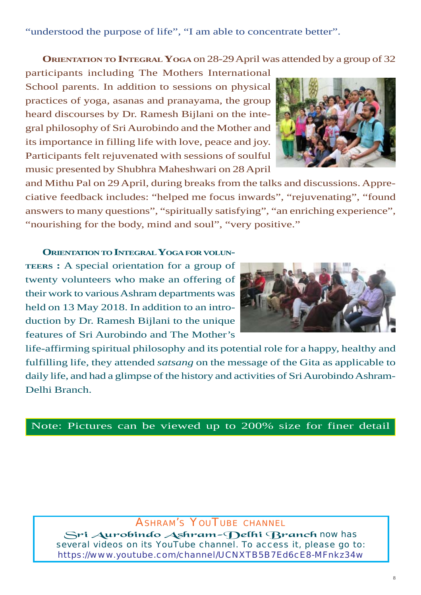"understood the purpose of life", "I am able to concentrate better".

**ORIENTATION TO INTEGRAL YOGA** on 28-29 April was attended by a group of 32

participants including The Mothers International School parents. In addition to sessions on physical practices of yoga, asanas and pranayama, the group heard discourses by Dr. Ramesh Bijlani on the integral philosophy of Sri Aurobindo and the Mother and its importance in filling life with love, peace and joy. Participants felt rejuvenated with sessions of soulful music presented by Shubhra Maheshwari on 28 April

and Mithu Pal on 29 April, during breaks from the talks and discussions. Appreciative feedback includes: "helped me focus inwards", "rejuvenating", "found answers to many questions", "spiritually satisfying", "an enriching experience", "nourishing for the body, mind and soul", "very positive."

**ORIENTATION TO INTEGRAL YOGA FOR VOLUN-**

**TEERS :** A special orientation for a group of twenty volunteers who make an offering of their work to various Ashram departments was held on 13 May 2018. In addition to an introduction by Dr. Ramesh Bijlani to the unique features of Sri Aurobindo and The Mother's

life-affirming spiritual philosophy and its potential role for a happy, healthy and fulfilling life, they attended *satsang* on the message of the Gita as applicable to daily life, and had a glimpse of the history and activities of Sri Aurobindo Ashram-Delhi Branch.

### Note: Pictures can be viewed up to 200% size for finer detail

#### ASHRAM'S YOUTUBE CHANNEL

Sri Aurobindo Ashram–Delhi Branch now has several videos on its YouTube channel. To access it, please go to: https://www.youtube.com/channel/UCNXTB5B7Ed6cE8-MFnkz34w



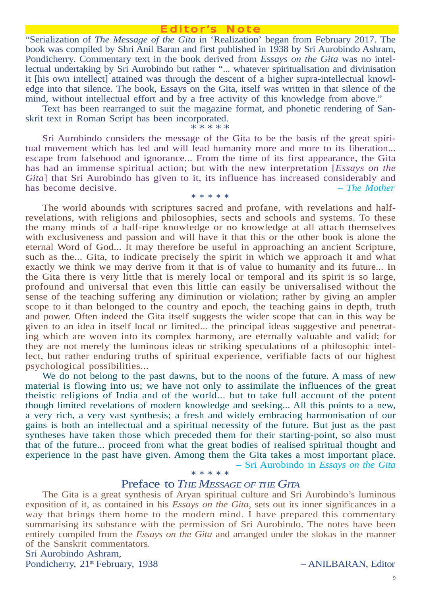#### Editor's Note

"Serialization of *The Message of the Gita* in 'Realization' began from February 2017. The book was compiled by Shri Anil Baran and first published in 1938 by Sri Aurobindo Ashram, Pondicherry. Commentary text in the book derived from *Essays on the Gita* was no intellectual undertaking by Sri Aurobindo but rather "... whatever spiritualisation and divinisation it [his own intellect] attained was through the descent of a higher supra-intellectual knowledge into that silence. The book, Essays on the Gita, itself was written in that silence of the mind, without intellectual effort and by a free activity of this knowledge from above."

Text has been rearranged to suit the magazine format, and phonetic rendering of Sanskrit text in Roman Script has been incorporated. \* \* \* \* \*

Sri Aurobindo considers the message of the Gita to be the basis of the great spiritual movement which has led and will lead humanity more and more to its liberation... escape from falsehood and ignorance... From the time of its first appearance, the Gita has had an immense spiritual action; but with the new interpretation [*Essays on the Gita*] that Sri Aurobindo has given to it, its influence has increased considerably and has become decisive. – *The Mother* \* \* \* \* \*

The world abounds with scriptures sacred and profane, with revelations and halfrevelations, with religions and philosophies, sects and schools and systems. To these the many minds of a half-ripe knowledge or no knowledge at all attach themselves with exclusiveness and passion and will have it that this or the other book is alone the eternal Word of God... It may therefore be useful in approaching an ancient Scripture, such as the... Gita, to indicate precisely the spirit in which we approach it and what exactly we think we may derive from it that is of value to humanity and its future... In the Gita there is very little that is merely local or temporal and its spirit is so large, profound and universal that even this little can easily be universalised without the sense of the teaching suffering any diminution or violation; rather by giving an ampler scope to it than belonged to the country and epoch, the teaching gains in depth, truth and power. Often indeed the Gita itself suggests the wider scope that can in this way be given to an idea in itself local or limited... the principal ideas suggestive and penetrating which are woven into its complex harmony, are eternally valuable and valid; for they are not merely the luminous ideas or striking speculations of a philosophic intellect, but rather enduring truths of spiritual experience, verifiable facts of our highest psychological possibilities...

We do not belong to the past dawns, but to the noons of the future. A mass of new material is flowing into us; we have not only to assimilate the influences of the great theistic religions of India and of the world... but to take full account of the potent though limited revelations of modern knowledge and seeking... All this points to a new, a very rich, a very vast synthesis; a fresh and widely embracing harmonisation of our gains is both an intellectual and a spiritual necessity of the future. But just as the past syntheses have taken those which preceded them for their starting-point, so also must that of the future... proceed from what the great bodies of realised spiritual thought and experience in the past have given. Among them the Gita takes a most important place. – Sri Aurobindo in *Essays on the Gita* \* \* \* \* \*

#### Preface to *THE MESSAGE OF THE GITA*

The Gita is a great synthesis of Aryan spiritual culture and Sri Aurobindo's luminous exposition of it, as contained in his *Essays on the Gita*, sets out its inner significances in a way that brings them home to the modern mind. I have prepared this commentary summarising its substance with the permission of Sri Aurobindo. The notes have been entirely compiled from the *Essays on the Gita* and arranged under the slokas in the manner of the Sanskrit commentators.

Sri Aurobindo Ashram,

Pondicherry,  $21^{st}$  February, 1938 – ANILBARAN, Editor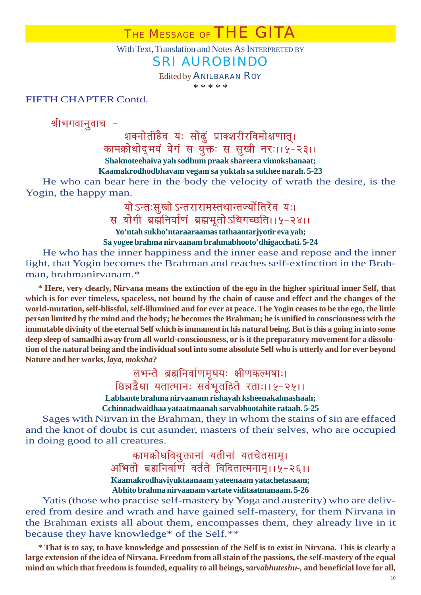## THE MESSAGE OF THE GI

With Text, Translation and Notes As INTERPRETED BY

SRI AUROBINDO

Edited by ANILBARAN ROY

\* \* \* \* \*

FIFTH CHAPTER Contd.

### श्रीभगवानुवाच -<br>शक्नोतीहैव यः सोढुं प्राक्शरीरविमोक्षणात्। कामक्रोधोद्भवं वेगं स युक्तः स सूखी नरः।।५-२३।। **Shaknoteehaiva yah sodhum praak shareera vimokshanaat; Kaamakrodhodbhavam vegam sa yuktah sa sukhee narah. 5-23**

He who can bear here in the body the velocity of wrath the desire, is the Yogin, the happy man.

## यो ऽन्तःसुखो ऽन्तरारामस्तथान्तर्ज्योतिरेव यः। स योगी ब्रह्मनिर्वाणं ब्रह्मभूतोऽधिगच्छति।।५-२४।।

**Yo'ntah sukho'ntaraaraamas tathaantarjyotir eva yah; Sa yogee brahma nirvaanam brahmabhooto'dhigacchati. 5-24**

He who has the inner happiness and the inner ease and repose and the inner light, that Yogin becomes the Brahman and reaches self-extinction in the Brahman, brahmanirvanam.\*

**\* Here, very clearly, Nirvana means the extinction of the ego in the higher spiritual inner Self, that which is for ever timeless, spaceless, not bound by the chain of cause and effect and the changes of the world-mutation, self-blissful, self-illumined and for ever at peace. The Yogin ceases to be the ego, the little person limited by the mind and the body; he becomes the Brahman; he is unified in consciousness with the immutable divinity of the eternal Self which is immanent in his natural being. But is this a going in into some deep sleep of samadhi away from all world-consciousness, or is it the preparatory movement for a dissolution of the natural being and the individual soul into some absolute Self who is utterly and for ever beyond Nature and her works,** *laya, moksha?*

### लभन्ते ब्रह्मनिर्वाणमृषयः क्षीणकल्मषाः। ष्ठिन्नद्वैधा यतात्मानः सर्वभूतहिते रताः।।५-२५।।

**Labhante brahma nirvaanam rishayah ksheenakalmashaah; Cchinnadwaidhaa yataatmaanah sarvabhootahite rataah. 5-25**

Sages with Nirvan in the Brahman, they in whom the stains of sin are effaced and the knot of doubt is cut asunder, masters of their selves, who are occupied in doing good to all creatures.

> कामक्रोधवियुक्तानां यतीनां यतचेतसाम्। अभितो ब्रह्मनिर्वाणं वर्तते विदितात्मनाम् ।। ५-२६।। **Kaamakrodhaviyuktaanaam yateenaam yatachetasaam; Abhito brahma nirvaanam vartate viditaatmanaam. 5-26**

Yatis (those who practise self-mastery by Yoga and austerity) who are delivered from desire and wrath and have gained self-mastery, for them Nirvana in the Brahman exists all about them, encompasses them, they already live in it because they have knowledge\* of the Self.\*\*

**\* That is to say, to have knowledge and possession of the Self is to exist in Nirvana. This is clearly a large extension of the idea of Nirvana. Freedom from all stain of the passions, the self-mastery of the equal mind on which that freedom is founded, equality to all beings,** *sarvabhuteshu-,* **and beneficial love for all,**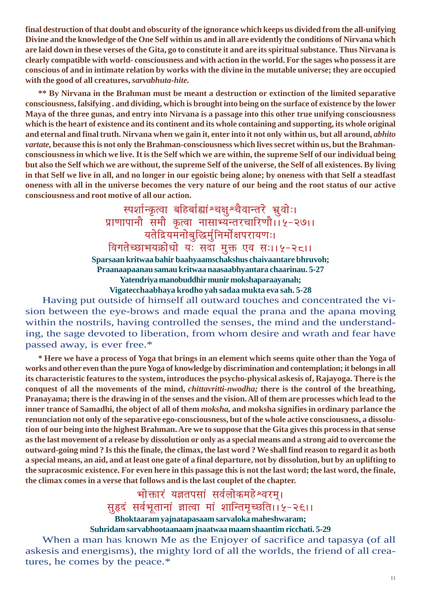**final destruction of that doubt and obscurity of the ignorance which keeps us divided from the all-unifying Divine and the knowledge of the One Self within us and in all are evidently the conditions of Nirvana which are laid down in these verses of the Gita, go to constitute it and are its spiritual substance. Thus Nirvana is clearly compatible with world- consciousness and with action in the world. For the sages who possess it are conscious of and in intimate relation by works with the divine in the mutable universe; they are occupied with the good of all creatures,** *sarvabhuta-hite.*

**\*\* By Nirvana in the Brahman must be meant a destruction or extinction of the limited separative consciousness, falsifying . and dividing, which is brought into being on the surface of existence by the lower Maya of the three gunas, and entry into Nirvana is a passage into this other true unifying consciousness which is the heart of existence and its continent and its whole containing and supporting, its whole original** and eternal and final truth. Nirvana when we gain it, enter into it not only within us, but all around, *abhito vartate,* **because this is not only the Brahman-consciousness which lives secret within us, but the Brahmanconsciousness in which we live. It is the Self which we are within, the supreme Self of our individual being but also the Self which we are without, the supreme Self of the universe, the Self of all existences. By living in that Self we live in all, and no longer in our egoistic being alone; by oneness with that Self a steadfast oneness with all in the universe becomes the very nature of our being and the root status of our active consciousness and root motive of all our action.**

> - स्पर्शान्कृत्वा बहिर्बाह्यांश्चक्षुश्चैवान्तरे भ्रुवोः।<br>प्राणापानौ समौ कृत्वा नासाभ्यन्तरचारिणौ।।५-२७।। यतेद्रियमनोबुद्धिर्मुनिर्मोक्षपरायणः। विगतेच्छाभयक्रोधो यः सदा मुक्त एव सः।। ५-२८।। **Sparsaan kritwaa bahir baahyaamschakshus chaivaantare bhruvoh; Praanaapaanau samau kritwaa naasaabhyantara chaarinau. 5-27 Yatendriya manobuddhir munir mokshaparaayanah; Vigatecchaabhaya krodho yah sadaa mukta eva sah. 5-28**

Having put outside of himself all outward touches and concentrated the vision between the eye-brows and made equal the prana and the apana moving within the nostrils, having controlled the senses, the mind and the understanding, the sage devoted to liberation, from whom desire and wrath and fear have passed away, is ever free.\*

**\* Here we have a process of Yoga that brings in an element which seems quite other than the Yoga of works and other even than the pure Yoga of knowledge by discrimination and contemplation; it belongs in all its characteristic features to the system, introduces the psycho-physical askesis of, Rajayoga. There is the conquest of all the movements of the mind,** *chittavritti-nwodha;* **there is the control of the breathing, Pranayama; there is the drawing in of the senses and the vision. All of them are processes which lead to the inner trance of Samadhi, the object of all of them** *moksha,* **and moksha signifies in ordinary parlance the renunciation not only of the separative ego-consciousness, but of the whole active consciousness, a dissolution of our being into the highest Brahman. Are we to suppose that the Gita gives this process in that sense as the last movement of a release by dissolution or only as a special means and a strong aid to overcome the outward-going mind ? Is this the finale, the climax, the last word ? We shall find reason to regard it as both a special means, an aid, and at least one gate of a final departure, not by dissolution, but by an uplifting to the supracosmic existence. For even here in this passage this is not the last word; the last word, the finale, the climax comes in a verse that follows and is the last couplet of the chapter.**

> भोक्तारं यज्ञतपसां सर्वलोकमहेश्वरम्। सूहदं सर्वभूतानां ज्ञात्वा मां शान्तिमृच्छति।।५-२६।। **Bhoktaaram yajnatapasaam sarvaloka maheshwaram; Suhridam sarvabhootaanaam jnaatwaa maam shaantim ricchati. 5-29**

When a man has known Me as the Enjoyer of sacrifice and tapasya (of all askesis and energisms), the mighty lord of all the worlds, the friend of all creatures, he comes by the peace.\*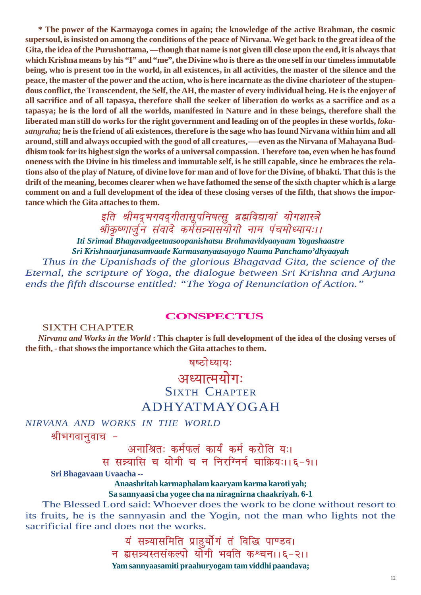**\* The power of the Karmayoga comes in again; the knowledge of the active Brahman, the cosmic supersoul, is insisted on among the conditions of the peace of Nirvana. We get back to the great idea of the Gita, the idea of the Purushottama, —though that name is not given till close upon the end, it is always that which Krishna means by his "I" and "me", the Divine who is there as the one self in our timeless immutable being, who is present too in the world, in all existences, in all activities, the master of the silence and the peace, the master of the power and the action, who is here incarnate as the divine charioteer of the stupendous conflict, the Transcendent, the Self, the AH, the master of every individual being. He is the enjoyer of all sacrifice and of all tapasya, therefore shall the seeker of liberation do works as a sacrifice and as a tapasya; he is the lord of all the worlds, manifested in Nature and in these beings, therefore shall the liberated man still do works for the right government and leading on of the peoples in these worlds,** *lokasangraha;* **he is the friend of ali existences, therefore is the sage who has found Nirvana within him and all around, still and always occupied with the good of all creatures,-—even as the Nirvana of Mahayana Buddhism took for its highest sign the works of a universal compassion. Therefore too, even when he has found oneness with the Divine in his timeless and immutable self, is he still capable, since he embraces the relations also of the play of Nature, of divine love for man and of love for the Divine, of bhakti. That this is the drift of the meaning, becomes clearer when we have fathomed the sense of the sixth chapter which is a large comment on and a full development of the idea of these closing verses of the fifth, that shows the importance which the Gita attaches to them.**

इति श्रीमद्भगवद्गीतासूपनिषत्सु ब्रह्मविद्यायां योगशास्त्रे श्रीकृष्णार्जुन संवादे कर्मसत्र्यासयोगो नाम पंचमोध्यायः।। *Iti Srimad Bhagavadgeetaasoopanishatsu Brahmavidyaayaam Yogashaastre Sri Krishnaarjunasamvaade Karmasanyaasayogo Naama Panchamo'dhyaayah Thus in the Upanishads of the glorious Bhagavad Gita, the science of the Eternal, the scripture of Yoga, the dialogue between Sri Krishna and Arjuna ends the fifth discourse entitled: "The Yoga of Renunciation of Action."*

### **CONSPECTUS**

#### SIXTH CHAPTER

*Nirvana and Works in the World* **: This chapter is full development of the idea of the closing verses of the fith, - that shows the importance which the Gita attaches to them.**

षष्ठोध्याय:

## अध्यात्मयोग: SIXTH CHAPTER ADHYATMAYOGAH

*NIRVANA AND WORKS IN THE WORLD*

श्रीभगवानुवाच -

अनाश्रित: कर्मफलं कार्यं कर्म करोति य:। स सन्न्यासि च योगी च न निरग्निर्न चाक्रियः।। ६-१।।

**Sri Bhagavaan Uvaacha --**

**Anaashritah karmaphalam kaaryam karma karoti yah;**

**Sa sannyaasi cha yogee cha na niragnirna chaakriyah. 6-1**

The Blessed Lord said: Whoever does the work to be done without resort to its fruits, he is the sannyasin and the Yogin, not the man who lights not the sacrificial fire and does not the works.

> यं सन्न्यासमिति प्राहुर्योगं तं विद्धि पाण्डव। न ह्यसन्न्यस्तसंकल्पो योगी भवति कश्चन।।६-२।। **Yam sannyaasamiti praahuryogam tam viddhi paandava;**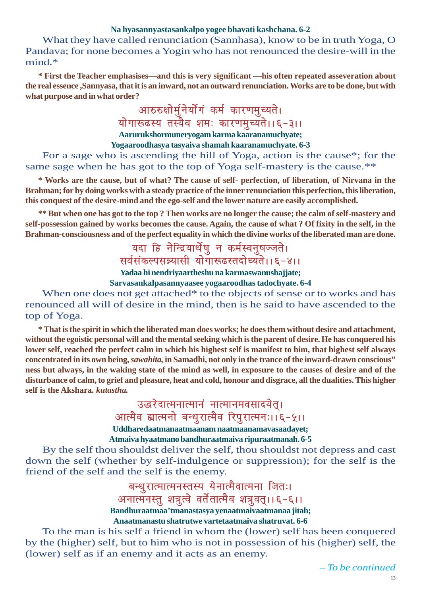#### **Na hyasannyastasankalpo yogee bhavati kashchana. 6-2**

What they have called renunciation (Sannhasa), know to be in truth Yoga, O Pandava; for none becomes a Yogin who has not renounced the desire-will in the mind.\*

**\* First the Teacher emphasises—and this is very significant —his often repeated asseveration about the real essence ,Sannyasa, that it is an inward, not an outward renunciation. Works are to be done, but with what purpose and in what order?**

### आरुरुक्षोर्मुनेर्योगं कर्म कारणमुच्यते<mark>।</mark> योगारूढस्य तस्यैव शमः कारणमुच्यते।।६-३।। **Aarurukshormuneryogam karma kaaranamuchyate; Yogaaroodhasya tasyaiva shamah kaaranamuchyate. 6-3**

For a sage who is ascending the hill of Yoga, action is the cause\*; for the same sage when he has got to the top of Yoga self-mastery is the cause.<sup>\*\*</sup>

**\* Works are the cause, but of what? The cause of self- perfection, of liberation, of Nirvana in the Brahman; for by doing works with a steady practice of the inner renunciation this perfection, this liberation, this conquest of the desire-mind and the ego-self and the lower nature are easily accomplished.**

**\*\* But when one has got to the top ? Then works are no longer the cause; the calm of self-mastery and self-possession gained by works becomes the cause. Again, the cause of what ? Of fixity in the self, in the Brahman-consciousness and of the perfect equality in which the divine works of the liberated man are done.**

> यदा हि नेन्द्रियार्थेषु न कर्मस्वनुष<mark>ज्जते</mark>। सर्वसंकल्पसन्न्यासी योगारूढस्तदोच्यते।।६−४।।

## **Yadaa hi nendriyaartheshu na karmaswanushajjate;**

### **Sarvasankalpasannyaasee yogaaroodhas tadochyate. 6-4**

When one does not get attached\* to the objects of sense or to works and has renounced all will of desire in the mind, then is he said to have ascended to the top of Yoga.

**\* That is the spirit in which the liberated man does works; he does them without desire and attachment, without the egoistic personal will and the mental seeking which is the parent of desire. He has conquered his lower self, reached the perfect calm in which his highest self is manifest to him, that highest self always concentrated in its own being,** *sawahita,* **in Samadhi, not only in the trance of the inward-drawn conscious" ness but always, in the waking state of the mind as well, in exposure to the causes of desire and of the disturbance of calm, to grief and pleasure, heat and cold, honour and disgrace, all the dualities. This higher self is the Akshara.** *kutastha.*

### उद्धरेदात्मनात्मानं नात्मानमवसादयेतु। आत्मैव ह्यात्मनो बन्धुरात्मैव रिपुरात्मनः $\hat{\mathbf{R}}$ ६-५।। **Uddharedaatmanaatmaanam naatmaanamavasaadayet;**

### **Atmaiva hyaatmano bandhuraatmaiva ripuraatmanah. 6-5**

By the self thou shouldst deliver the self, thou shouldst not depress and cast down the self (whether by self-indulgence or suppression); for the self is the friend of the self and the self is the enemy.

> बन्धुरात्मात्मनस्तस्य येनात्मैवात्मना जित<mark>ः</mark>। अनात्मॅनस्तु शत्रुत्वे वर्तेतात्मैव शत्रुवत्।।६-६।। **Bandhuraatmaa'tmanastasya yenaatmaivaatmanaa jitah; Anaatmanastu shatrutwe vartetaatmaiva shatruvat. 6-6**

To the man is his self a friend in whom the (lower) self has been conquered by the (higher) self, but to him who is not in possession of his (higher) self, the (lower) self as if an enemy and it acts as an enemy.